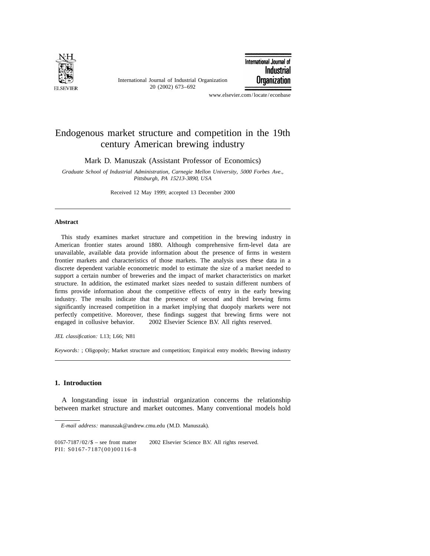

International Journal of Industrial Organization 20 (2002) 673–692

International Journal of Industrial **Organization** 

www.elsevier.com/locate/econbase

## Endogenous market structure and competition in the 19th century American brewing industry

Mark D. Manuszak (Assistant Professor of Economics)

*Graduate School of Industrial Administration*, *Carnegie Mellon University*, <sup>5000</sup> *Forbes Ave*., *Pittsburgh*, *PA* <sup>15213</sup>-3890, *USA*

Received 12 May 1999; accepted 13 December 2000

## **Abstract**

This study examines market structure and competition in the brewing industry in American frontier states around 1880. Although comprehensive firm-level data are unavailable, available data provide information about the presence of firms in western frontier markets and characteristics of those markets. The analysis uses these data in a discrete dependent variable econometric model to estimate the size of a market needed to support a certain number of breweries and the impact of market characteristics on market structure. In addition, the estimated market sizes needed to sustain different numbers of firms provide information about the competitive effects of entry in the early brewing industry. The results indicate that the presence of second and third brewing firms significantly increased competition in a market implying that duopoly markets were not perfectly competitive. Moreover, these findings suggest that brewing firms were not engaged in collusive behavior.  $\degree$  2002 Elsevier Science B.V. All rights reserved.

*JEL classification*: L13; L66; N81

*Keywords*: ; Oligopoly; Market structure and competition; Empirical entry models; Brewing industry

## **1. Introduction**

A longstanding issue in industrial organization concerns the relationship between market structure and market outcomes. Many conventional models hold

*E*-*mail address*: manuszak@andrew.cmu.edu (M.D. Manuszak).

 $0167-7187/02/\$$  – see front matter  $\)$  2002 Elsevier Science B.V. All rights reserved. PII: S0167-7187(00)00116-8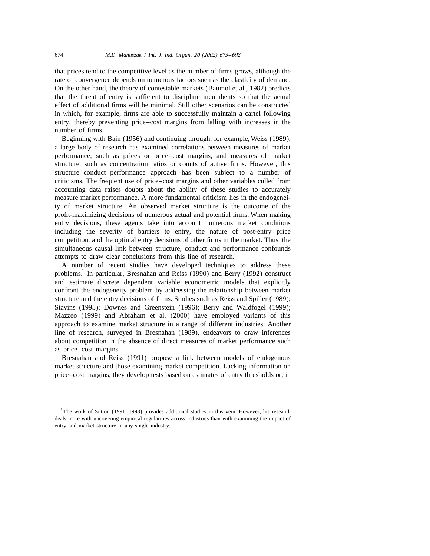that prices tend to the competitive level as the number of firms grows, although the rate of convergence depends on numerous factors such as the elasticity of demand. On the other hand, the theory of contestable markets (Baumol et al., 1982) predicts that the threat of entry is sufficient to discipline incumbents so that the actual effect of additional firms will be minimal. Still other scenarios can be constructed in which, for example, firms are able to successfully maintain a cartel following entry, thereby preventing price–cost margins from falling with increases in the number of firms.

Beginning with Bain (1956) and continuing through, for example, Weiss (1989), a large body of research has examined correlations between measures of market performance, such as prices or price–cost margins, and measures of market structure, such as concentration ratios or counts of active firms. However, this structure–conduct–performance approach has been subject to a number of criticisms. The frequent use of price–cost margins and other variables culled from accounting data raises doubts about the ability of these studies to accurately measure market performance. A more fundamental criticism lies in the endogeneity of market structure. An observed market structure is the outcome of the profit-maximizing decisions of numerous actual and potential firms. When making entry decisions, these agents take into account numerous market conditions including the severity of barriers to entry, the nature of post-entry price competition, and the optimal entry decisions of other firms in the market. Thus, the simultaneous causal link between structure, conduct and performance confounds attempts to draw clear conclusions from this line of research.

A number of recent studies have developed techniques to address these problems.<sup>1</sup> In particular, Bresnahan and Reiss (1990) and Berry (1992) construct and estimate discrete dependent variable econometric models that explicitly confront the endogeneity problem by addressing the relationship between market structure and the entry decisions of firms. Studies such as Reiss and Spiller (1989); Stavins (1995); Downes and Greenstein (1996); Berry and Waldfogel (1999); Mazzeo (1999) and Abraham et al. (2000) have employed variants of this approach to examine market structure in a range of different industries. Another line of research, surveyed in Bresnahan (1989), endeavors to draw inferences about competition in the absence of direct measures of market performance such as price–cost margins.

Bresnahan and Reiss (1991) propose a link between models of endogenous market structure and those examining market competition. Lacking information on price–cost margins, they develop tests based on estimates of entry thresholds or, in

<sup>&</sup>lt;sup>1</sup>The work of Sutton (1991, 1998) provides additional studies in this vein. However, his research deals more with uncovering empirical regularities across industries than with examining the impact of entry and market structure in any single industry.